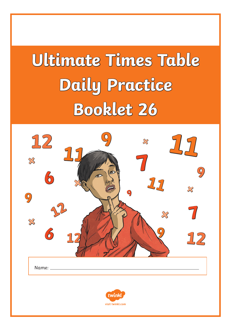# **Ultimate Times Table Daily Practice Booklet 26**

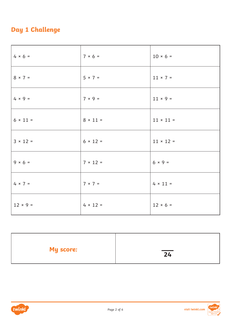## **Day 1 Challenge**

| $4 × 6 =$       | $7 × 6 =$       | $10 × 6 =$       |
|-----------------|-----------------|------------------|
| $8 × 7 =$       | $5 × 7 =$       | $11 \times 7 =$  |
| $4 \times 9 =$  | $7 × 9 =$       | $11 \times 9 =$  |
| $6 \times 11 =$ | $8 \times 11 =$ | $11 \times 11 =$ |
| $3 \times 12 =$ | $6 \times 12 =$ | $11 \times 12 =$ |
| $9 × 6 =$       | $7 × 12 =$      | $6 × 9 =$        |
| $4 \times 7 =$  | $7 × 7 =$       | $4 \times 11 =$  |
| $12 × 9 =$      | $4 \times 12 =$ | $12 × 6 =$       |

| <b>My score:</b> | $\overline{24}$ |
|------------------|-----------------|
|                  |                 |



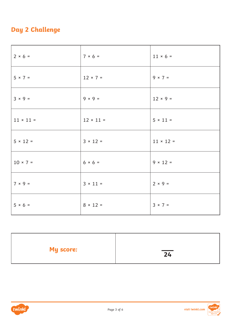## **Day 2 Challenge**

| $2 × 6 =$        | $7 × 6 =$        | $11 × 6 =$       |
|------------------|------------------|------------------|
| $5 × 7 =$        | $12 \times 7 =$  | $9 \times 7 =$   |
| $3 × 9 =$        | $9 \times 9 =$   | $12 \times 9 =$  |
| $11 \times 11 =$ | $12 \times 11 =$ | $5 \times 11 =$  |
| $5 \times 12 =$  | $3 \times 12 =$  | $11 \times 12 =$ |
| $10 × 7 =$       | $6 \times 6 =$   | $9 \times 12 =$  |
| $7 × 9 =$        | $3 \times 11 =$  | $2 × 9 =$        |
| $5 \times 6 =$   | $8 \times 12 =$  | $3 × 7 =$        |

| <b>My score:</b> | $\overline{24}$ |
|------------------|-----------------|
|                  |                 |



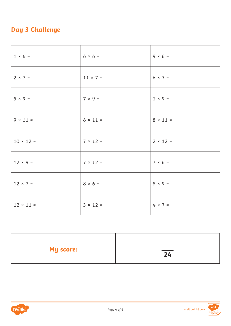## **Day 3 Challenge**

| $1 \times 6 =$   | $6 × 6 =$       | $9 × 6 =$       |
|------------------|-----------------|-----------------|
| $2 × 7 =$        | $11 \times 7 =$ | $6 × 7 =$       |
| $5 \times 9 =$   | $7 × 9 =$       | $1 × 9 =$       |
| $9 \times 11 =$  | $6 \times 11 =$ | $8 \times 11 =$ |
| $10 \times 12 =$ | $7 \times 12 =$ | $2 \times 12 =$ |
| $12 \times 9 =$  | $7 \times 12 =$ | $7 \times 6 =$  |
| $12 \times 7 =$  | $8 × 6 =$       | $8 \times 9 =$  |
| $12 \times 11 =$ | $3 \times 12 =$ | $4 \times 7 =$  |

| <b>My score:</b> | $\overline{24}$ |
|------------------|-----------------|
|                  |                 |



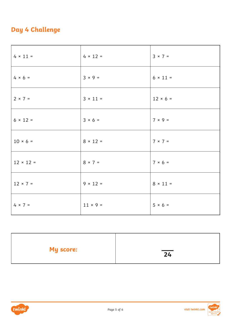## **Day 4 Challenge**

| $4 \times 11 =$  | $4 \times 12 =$ | $3 × 7 =$       |
|------------------|-----------------|-----------------|
| $4 × 6 =$        | $3 × 9 =$       | $6 \times 11 =$ |
| $2 × 7 =$        | $3 \times 11 =$ | $12 × 6 =$      |
| $6 \times 12 =$  | $3 × 6 =$       | $7 × 9 =$       |
| $10 \times 6 =$  | $8 \times 12 =$ | $7 \times 7 =$  |
| $12 \times 12 =$ | $8 \times 7 =$  | $7 × 6 =$       |
| $12 \times 7 =$  | $9 \times 12 =$ | $8 \times 11 =$ |
| $4 \times 7 =$   | $11 × 9 =$      | $5 \times 6 =$  |

| <b>My score:</b> | $\overline{24}$ |
|------------------|-----------------|
|                  |                 |